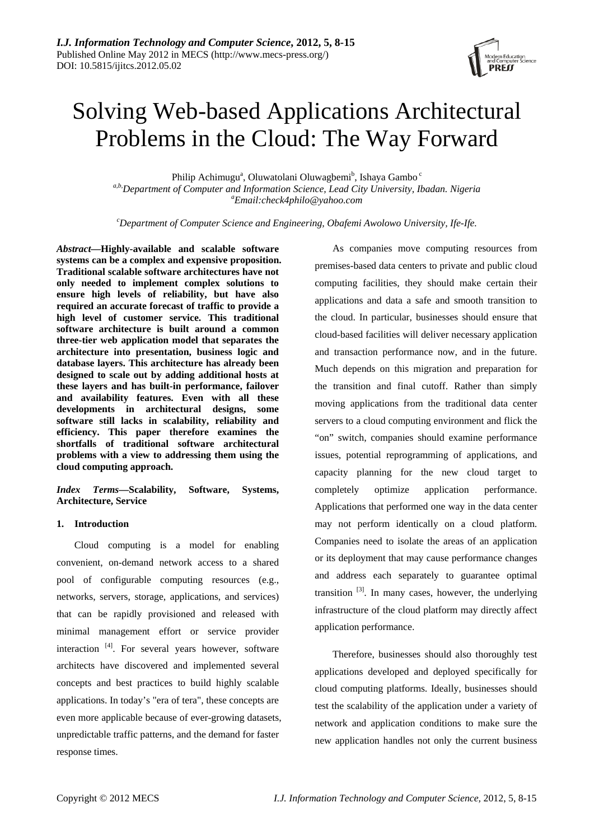# Solving Web-based Applications Architectural Problems in the Cloud: The Way Forward

Philip Achimugu<sup>a</sup>, Oluwatolani Oluwagbemi<sup>b</sup>, Ishaya Gambo<sup>c</sup> *a,b,Department of Computer and Information Science, Lead City University, Ibadan. Nigeria a Email:check4philo@yahoo.com* 

*c Department of Computer Science and Engineering, Obafemi Awolowo University, Ife-Ife.* 

*Abstract***—Highly-available and scalable software systems can be a complex and expensive proposition. Traditional scalable software architectures have not only needed to implement complex solutions to ensure high levels of reliability, but have also required an accurate forecast of traffic to provide a high level of customer service. This traditional software architecture is built around a common three-tier web application model that separates the architecture into presentation, business logic and database layers. This architecture has already been designed to scale out by adding additional hosts at these layers and has built-in performance, failover and availability features. Even with all these developments in architectural designs, some software still lacks in scalability, reliability and efficiency. This paper therefore examines the shortfalls of traditional software architectural problems with a view to addressing them using the cloud computing approach.** 

*Index Terms***—Scalability, Software, Systems, Architecture, Service** 

## **1. Introduction**

Cloud computing is a model for enabling convenient, on-demand network access to a shared pool of configurable computing resources (e.g., networks, servers, storage, applications, and services) that can be rapidly provisioned and released with minimal management effort or service provider interaction <sup>[4]</sup>. For several years however, software architects have discovered and implemented several concepts and best practices to build highly scalable applications. In today's "era of tera", these concepts are even more applicable because of ever-growing datasets, unpredictable traffic patterns, and the demand for faster response times.

As companies move computing resources from premises-based data centers to private and public cloud computing facilities, they should make certain their applications and data a safe and smooth transition to the cloud. In particular, businesses should ensure that cloud-based facilities will deliver necessary application and transaction performance now, and in the future. Much depends on this migration and preparation for the transition and final cutoff. Rather than simply moving applications from the traditional data center servers to a cloud computing environment and flick the "on" switch, companies should examine performance issues, potential reprogramming of applications, and capacity planning for the new cloud target to completely optimize application performance. Applications that performed one way in the data center may not perform identically on a cloud platform. Companies need to isolate the areas of an application or its deployment that may cause performance changes and address each separately to guarantee optimal transition  $[3]$ . In many cases, however, the underlying infrastructure of the cloud platform may directly affect application performance.

Therefore, businesses should also thoroughly test applications developed and deployed specifically for cloud computing platforms. Ideally, businesses should test the scalability of the application under a variety of network and application conditions to make sure the new application handles not only the current business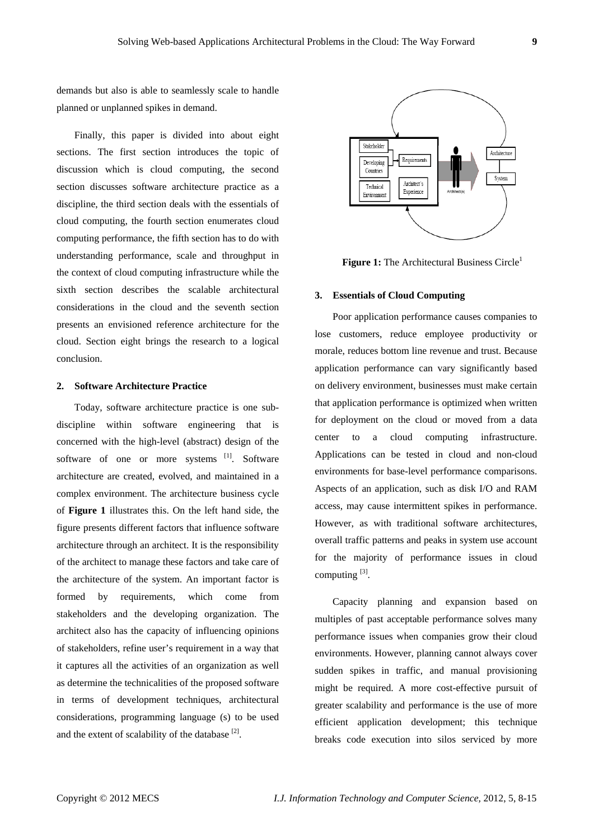demands but also is able to seamlessly scale to handle planned or unplanned spikes in demand.

Finally, this paper is divided into about eight sections. The first section introduces the topic of discussion which is cloud computing, the second section discusses software architecture practice as a discipline, the third section deals with the essentials of cloud computing, the fourth section enumerates cloud computing performance, the fifth section has to do with understanding performance, scale and throughput in the context of cloud computing infrastructure while the sixth section describes the scalable architectural considerations in the cloud and the seventh section presents an envisioned reference architecture for the cloud. Section eight brings the research to a logical conclusion.

## **2. Software Architecture Practice**

Today, software architecture practice is one subdiscipline within software engineering that is concerned with the high-level (abstract) design of the software of one or more systems [1]. Software architecture are created, evolved, and maintained in a complex environment. The architecture business cycle of **Figure 1** illustrates this. On the left hand side, the figure presents different factors that influence software architecture through an architect. It is the responsibility of the architect to manage these factors and take care of the architecture of the system. An important factor is formed by requirements, which come from stakeholders and the developing organization. The architect also has the capacity of influencing opinions of stakeholders, refine user's requirement in a way that it captures all the activities of an organization as well as determine the technicalities of the proposed software in terms of development techniques, architectural considerations, programming language (s) to be used and the extent of scalability of the database  $[2]$ .



**Figure 1:** The Architectural Business Circle<sup>1</sup>

## **3. Essentials of Cloud Computing**

Poor application performance causes companies to lose customers, reduce employee productivity or morale, reduces bottom line revenue and trust. Because application performance can vary significantly based on delivery environment, businesses must make certain that application performance is optimized when written for deployment on the cloud or moved from a data center to a cloud computing infrastructure. Applications can be tested in cloud and non-cloud environments for base-level performance comparisons. Aspects of an application, such as disk I/O and RAM access, may cause intermittent spikes in performance. However, as with traditional software architectures, overall traffic patterns and peaks in system use account for the majority of performance issues in cloud computing  $^{[3]}$ .

Capacity planning and expansion based on multiples of past acceptable performance solves many performance issues when companies grow their cloud environments. However, planning cannot always cover sudden spikes in traffic, and manual provisioning might be required. A more cost-effective pursuit of greater scalability and performance is the use of more efficient application development; this technique breaks code execution into silos serviced by more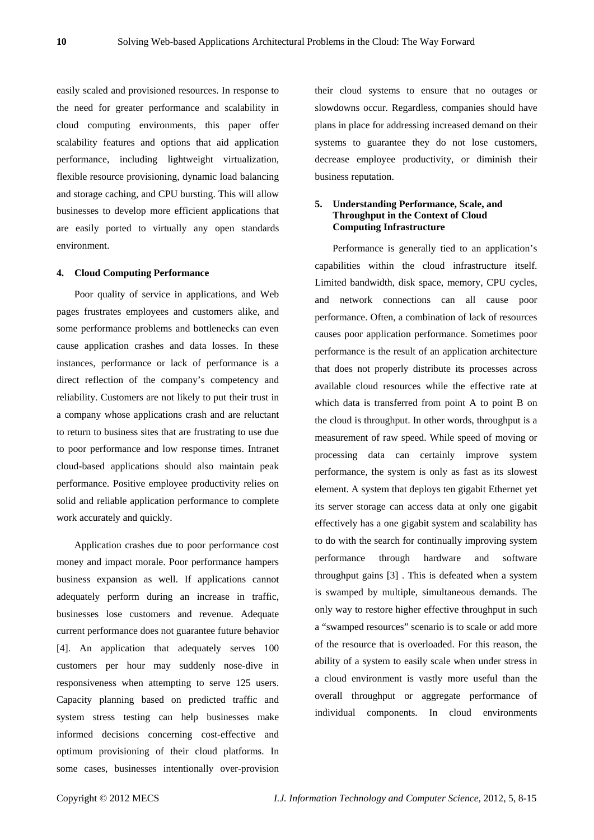easily scaled and provisioned resources. In response to the need for greater performance and scalability in cloud computing environments, this paper offer scalability features and options that aid application performance, including lightweight virtualization, flexible resource provisioning, dynamic load balancing and storage caching, and CPU bursting. This will allow businesses to develop more efficient applications that are easily ported to virtually any open standards environment.

#### **4. Cloud Computing Performance**

Poor quality of service in applications, and Web pages frustrates employees and customers alike, and some performance problems and bottlenecks can even cause application crashes and data losses. In these instances, performance or lack of performance is a direct reflection of the company's competency and reliability. Customers are not likely to put their trust in a company whose applications crash and are reluctant to return to business sites that are frustrating to use due to poor performance and low response times. Intranet cloud-based applications should also maintain peak performance. Positive employee productivity relies on solid and reliable application performance to complete work accurately and quickly.

Application crashes due to poor performance cost money and impact morale. Poor performance hampers business expansion as well. If applications cannot adequately perform during an increase in traffic, businesses lose customers and revenue. Adequate current performance does not guarantee future behavior [4]. An application that adequately serves 100 customers per hour may suddenly nose-dive in responsiveness when attempting to serve 125 users. Capacity planning based on predicted traffic and system stress testing can help businesses make informed decisions concerning cost-effective and optimum provisioning of their cloud platforms. In some cases, businesses intentionally over-provision their cloud systems to ensure that no outages or slowdowns occur. Regardless, companies should have plans in place for addressing increased demand on their systems to guarantee they do not lose customers, decrease employee productivity, or diminish their business reputation.

## **5. Understanding Performance, Scale, and Throughput in the Context of Cloud Computing Infrastructure**

Performance is generally tied to an application's capabilities within the cloud infrastructure itself. Limited bandwidth, disk space, memory, CPU cycles, and network connections can all cause poor performance. Often, a combination of lack of resources causes poor application performance. Sometimes poor performance is the result of an application architecture that does not properly distribute its processes across available cloud resources while the effective rate at which data is transferred from point A to point B on the cloud is throughput. In other words, throughput is a measurement of raw speed. While speed of moving or processing data can certainly improve system performance, the system is only as fast as its slowest element. A system that deploys ten gigabit Ethernet yet its server storage can access data at only one gigabit effectively has a one gigabit system and scalability has to do with the search for continually improving system performance through hardware and software throughput gains [3] . This is defeated when a system is swamped by multiple, simultaneous demands. The only way to restore higher effective throughput in such a "swamped resources" scenario is to scale or add more of the resource that is overloaded. For this reason, the ability of a system to easily scale when under stress in a cloud environment is vastly more useful than the overall throughput or aggregate performance of individual components. In cloud environments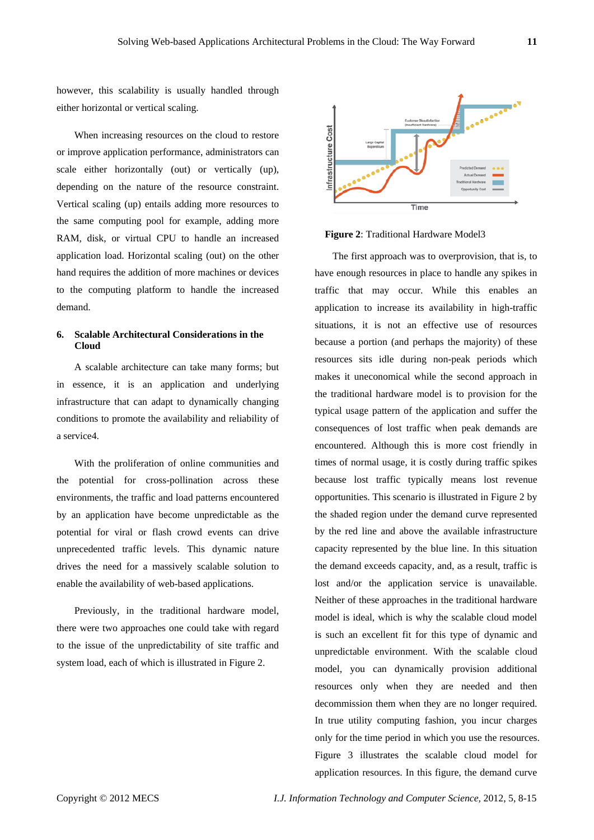however, this scalability is usually handled through either horizontal or vertical scaling.

When increasing resources on the cloud to restore or improve application performance, administrators can scale either horizontally (out) or vertically (up), depending on the nature of the resource constraint. Vertical scaling (up) entails adding more resources to the same computing pool for example, adding more RAM, disk, or virtual CPU to handle an increased application load. Horizontal scaling (out) on the other hand requires the addition of more machines or devices to the computing platform to handle the increased demand.

# **6. Scalable Architectural Considerations in the Cloud**

A scalable architecture can take many forms; but in essence, it is an application and underlying infrastructure that can adapt to dynamically changing conditions to promote the availability and reliability of a service4.

With the proliferation of online communities and the potential for cross-pollination across these environments, the traffic and load patterns encountered by an application have become unpredictable as the potential for viral or flash crowd events can drive unprecedented traffic levels. This dynamic nature drives the need for a massively scalable solution to enable the availability of web-based applications.

Previously, in the traditional hardware model, there were two approaches one could take with regard to the issue of the unpredictability of site traffic and system load, each of which is illustrated in Figure 2.



## **Figure 2**: Traditional Hardware Model3

The first approach was to overprovision, that is, to have enough resources in place to handle any spikes in traffic that may occur. While this enables an application to increase its availability in high-traffic situations, it is not an effective use of resources because a portion (and perhaps the majority) of these resources sits idle during non-peak periods which makes it uneconomical while the second approach in the traditional hardware model is to provision for the typical usage pattern of the application and suffer the consequences of lost traffic when peak demands are encountered. Although this is more cost friendly in times of normal usage, it is costly during traffic spikes because lost traffic typically means lost revenue opportunities. This scenario is illustrated in Figure 2 by the shaded region under the demand curve represented by the red line and above the available infrastructure capacity represented by the blue line. In this situation the demand exceeds capacity, and, as a result, traffic is lost and/or the application service is unavailable. Neither of these approaches in the traditional hardware model is ideal, which is why the scalable cloud model is such an excellent fit for this type of dynamic and unpredictable environment. With the scalable cloud model, you can dynamically provision additional resources only when they are needed and then decommission them when they are no longer required. In true utility computing fashion, you incur charges only for the time period in which you use the resources. Figure 3 illustrates the scalable cloud model for application resources. In this figure, the demand curve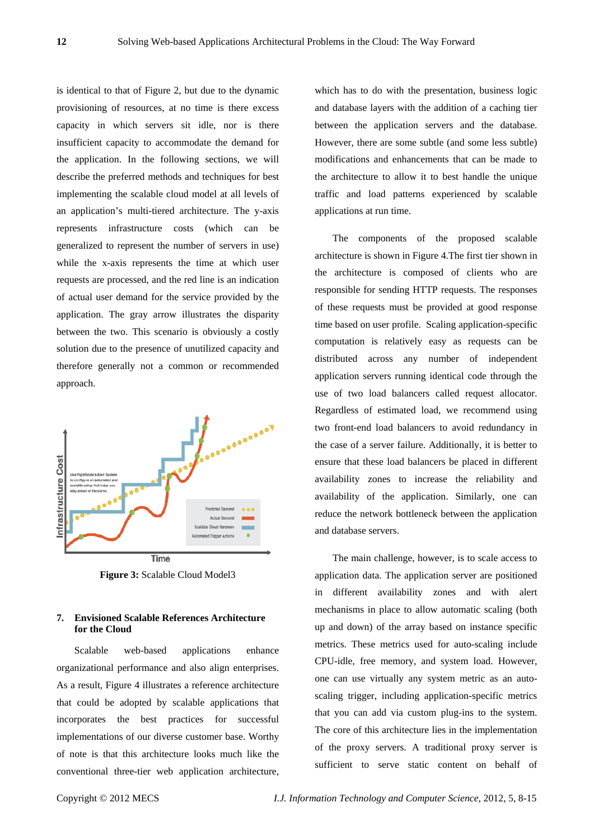is identical to that of Figure 2, but due to the dynamic provisioning of resources, at no time is there excess capacity in which servers sit idle, nor is there insufficient capacity to accommodate the demand for the application. In the following sections, we will describe the preferred methods and techniques for best implementing the scalable cloud model at all levels of an application's multi-tiered architecture. The y-axis represents infrastructure costs (which can be generalized to represent the number of servers in use) while the x-axis represents the time at which user requests are processed, and the red line is an indication of actual user demand for the service provided by the application. The gray arrow illustrates the disparity between the two. This scenario is obviously a costly solution due to the presence of unutilized capacity and therefore generally not a common or recommended approach.



**Figure 3:** Scalable Cloud Model3

# **7. Envisioned Scalable References Architecture for the Cloud**

Scalable web-based applications enhance organizational performance and also align enterprises. As a result, Figure 4 illustrates a reference architecture that could be adopted by scalable applications that incorporates the best practices for successful implementations of our diverse customer base. Worthy of note is that this architecture looks much like the conventional three-tier web application architecture, which has to do with the presentation, business logic and database layers with the addition of a caching tier between the application servers and the database. However, there are some subtle (and some less subtle) modifications and enhancements that can be made to the architecture to allow it to best handle the unique traffic and load patterns experienced by scalable applications at run time.

The components of the proposed scalable architecture is shown in Figure 4.The first tier shown in the architecture is composed of clients who are responsible for sending HTTP requests. The responses of these requests must be provided at good response time based on user profile. Scaling application-specific computation is relatively easy as requests can be distributed across any number of independent application servers running identical code through the use of two load balancers called request allocator. Regardless of estimated load, we recommend using two front-end load balancers to avoid redundancy in the case of a server failure. Additionally, it is better to ensure that these load balancers be placed in different availability zones to increase the reliability and availability of the application. Similarly, one can reduce the network bottleneck between the application and database servers.

The main challenge, however, is to scale access to application data. The application server are positioned in different availability zones and with alert mechanisms in place to allow automatic scaling (both up and down) of the array based on instance specific metrics. These metrics used for auto-scaling include CPU-idle, free memory, and system load. However, one can use virtually any system metric as an autoscaling trigger, including application-specific metrics that you can add via custom plug-ins to the system. The core of this architecture lies in the implementation of the proxy servers. A traditional proxy server is sufficient to serve static content on behalf of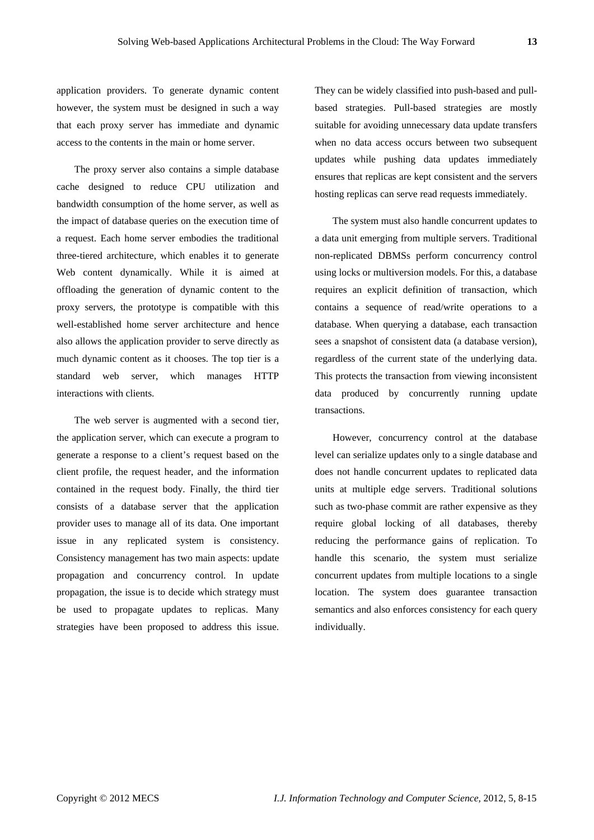application providers. To generate dynamic content however, the system must be designed in such a way that each proxy server has immediate and dynamic access to the contents in the main or home server.

The proxy server also contains a simple database cache designed to reduce CPU utilization and bandwidth consumption of the home server, as well as the impact of database queries on the execution time of a request. Each home server embodies the traditional three-tiered architecture, which enables it to generate Web content dynamically. While it is aimed at offloading the generation of dynamic content to the proxy servers, the prototype is compatible with this well-established home server architecture and hence also allows the application provider to serve directly as much dynamic content as it chooses. The top tier is a standard web server, which manages HTTP interactions with clients.

The web server is augmented with a second tier, the application server, which can execute a program to generate a response to a client's request based on the client profile, the request header, and the information contained in the request body. Finally, the third tier consists of a database server that the application provider uses to manage all of its data. One important issue in any replicated system is consistency. Consistency management has two main aspects: update propagation and concurrency control. In update propagation, the issue is to decide which strategy must be used to propagate updates to replicas. Many strategies have been proposed to address this issue.

They can be widely classified into push-based and pullbased strategies. Pull-based strategies are mostly suitable for avoiding unnecessary data update transfers when no data access occurs between two subsequent updates while pushing data updates immediately ensures that replicas are kept consistent and the servers hosting replicas can serve read requests immediately.

The system must also handle concurrent updates to a data unit emerging from multiple servers. Traditional non-replicated DBMSs perform concurrency control using locks or multiversion models. For this, a database requires an explicit definition of transaction, which contains a sequence of read/write operations to a database. When querying a database, each transaction sees a snapshot of consistent data (a database version), regardless of the current state of the underlying data. This protects the transaction from viewing inconsistent data produced by concurrently running update transactions.

However, concurrency control at the database level can serialize updates only to a single database and does not handle concurrent updates to replicated data units at multiple edge servers. Traditional solutions such as two-phase commit are rather expensive as they require global locking of all databases, thereby reducing the performance gains of replication. To handle this scenario, the system must serialize concurrent updates from multiple locations to a single location. The system does guarantee transaction semantics and also enforces consistency for each query individually.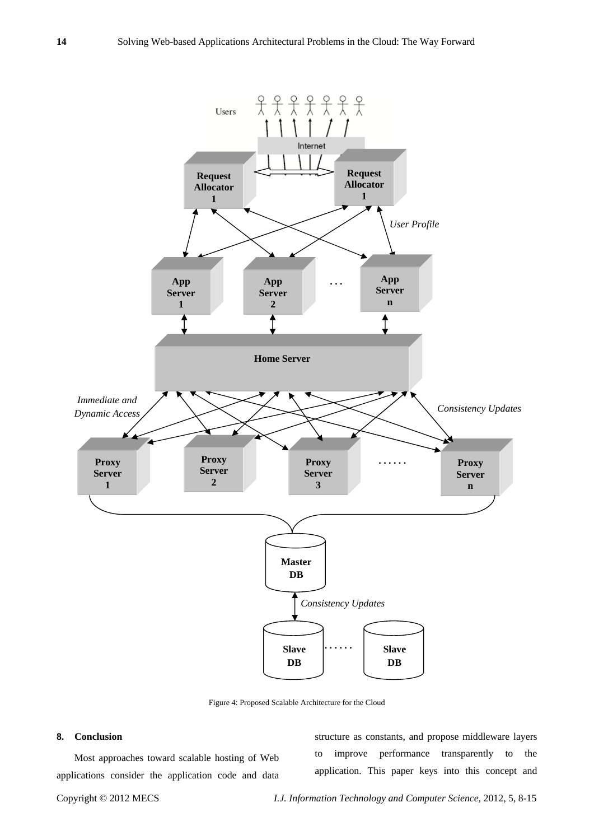

Figure 4: Proposed Scalable Architecture for the Cloud

## **8. Conclusion**

Most approaches toward scalable hosting of Web applications consider the application code and data

structure as constants, and propose middleware layers to improve performance transparently to the application. This paper keys into this concept and